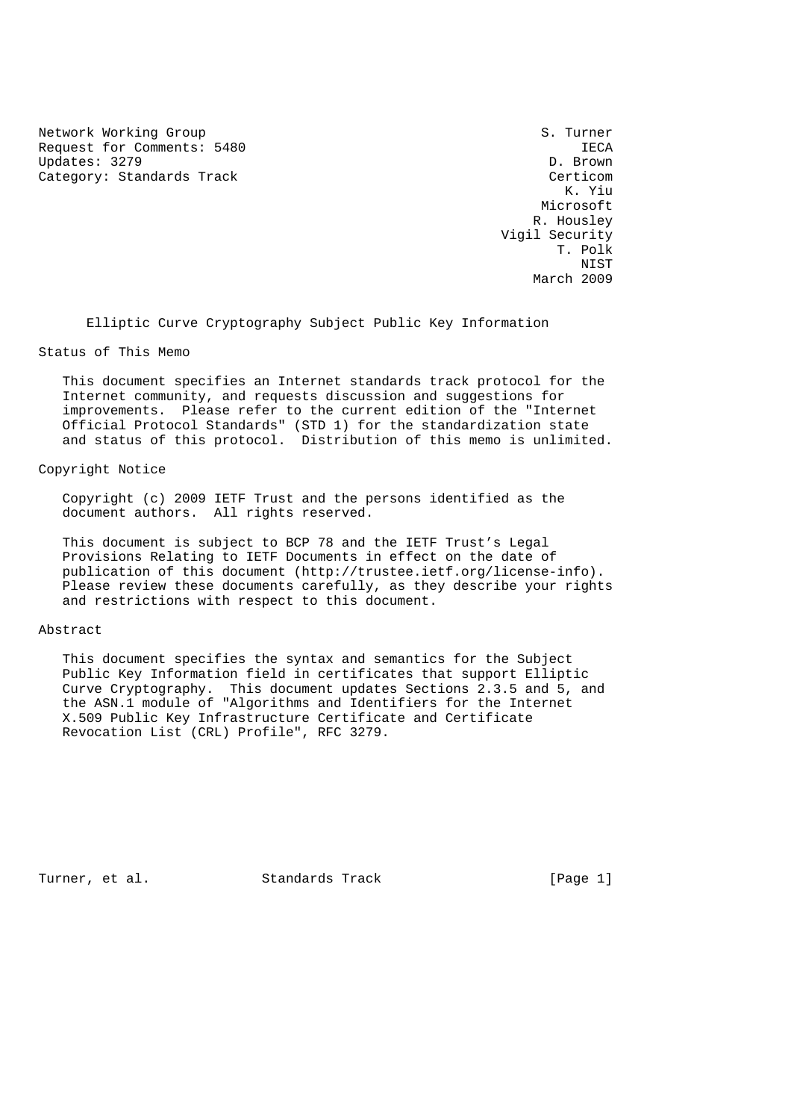Network Working Group S. Turner Request for Comments: 5480 IECA<br>
Updates: 3279 D. Brown Updates: 3279 Category: Standards Track Certicom

 K. Yiu Microsoft R. Housley Vigil Security T. Polk NIST March 2009

Elliptic Curve Cryptography Subject Public Key Information

## Status of This Memo

 This document specifies an Internet standards track protocol for the Internet community, and requests discussion and suggestions for improvements. Please refer to the current edition of the "Internet Official Protocol Standards" (STD 1) for the standardization state and status of this protocol. Distribution of this memo is unlimited.

## Copyright Notice

 Copyright (c) 2009 IETF Trust and the persons identified as the document authors. All rights reserved.

 This document is subject to BCP 78 and the IETF Trust's Legal Provisions Relating to IETF Documents in effect on the date of publication of this document (http://trustee.ietf.org/license-info). Please review these documents carefully, as they describe your rights and restrictions with respect to this document.

#### Abstract

 This document specifies the syntax and semantics for the Subject Public Key Information field in certificates that support Elliptic Curve Cryptography. This document updates Sections 2.3.5 and 5, and the ASN.1 module of "Algorithms and Identifiers for the Internet X.509 Public Key Infrastructure Certificate and Certificate Revocation List (CRL) Profile", RFC 3279.

Turner, et al. Standards Track [Page 1]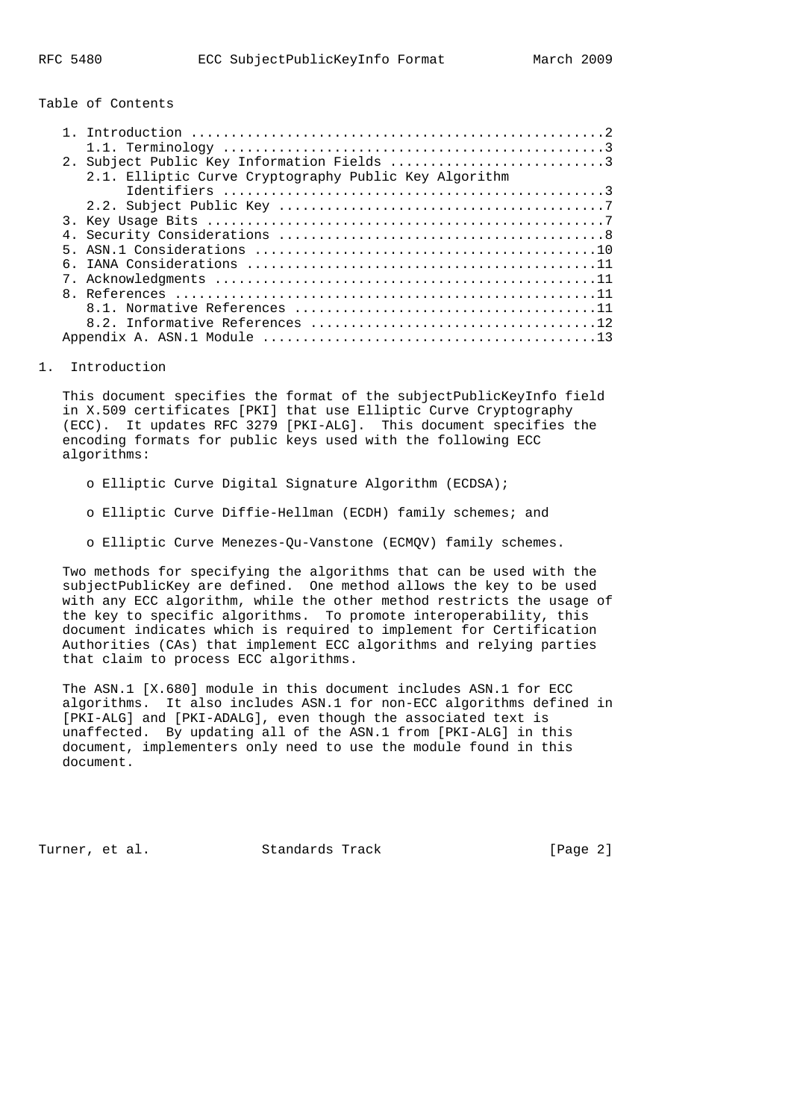Table of Contents

|   | 2. Subject Public Key Information Fields 3            |
|---|-------------------------------------------------------|
|   | 2.1. Elliptic Curve Cryptography Public Key Algorithm |
|   |                                                       |
|   |                                                       |
|   |                                                       |
|   |                                                       |
| 5 |                                                       |
|   |                                                       |
|   |                                                       |
|   |                                                       |
|   |                                                       |
|   |                                                       |
|   |                                                       |

#### 1. Introduction

 This document specifies the format of the subjectPublicKeyInfo field in X.509 certificates [PKI] that use Elliptic Curve Cryptography (ECC). It updates RFC 3279 [PKI-ALG]. This document specifies the encoding formats for public keys used with the following ECC algorithms:

- o Elliptic Curve Digital Signature Algorithm (ECDSA);
- o Elliptic Curve Diffie-Hellman (ECDH) family schemes; and
- o Elliptic Curve Menezes-Qu-Vanstone (ECMQV) family schemes.

 Two methods for specifying the algorithms that can be used with the subjectPublicKey are defined. One method allows the key to be used with any ECC algorithm, while the other method restricts the usage of the key to specific algorithms. To promote interoperability, this document indicates which is required to implement for Certification Authorities (CAs) that implement ECC algorithms and relying parties that claim to process ECC algorithms.

 The ASN.1 [X.680] module in this document includes ASN.1 for ECC algorithms. It also includes ASN.1 for non-ECC algorithms defined in [PKI-ALG] and [PKI-ADALG], even though the associated text is unaffected. By updating all of the ASN.1 from [PKI-ALG] in this document, implementers only need to use the module found in this document.

Turner, et al. Standards Track [Page 2]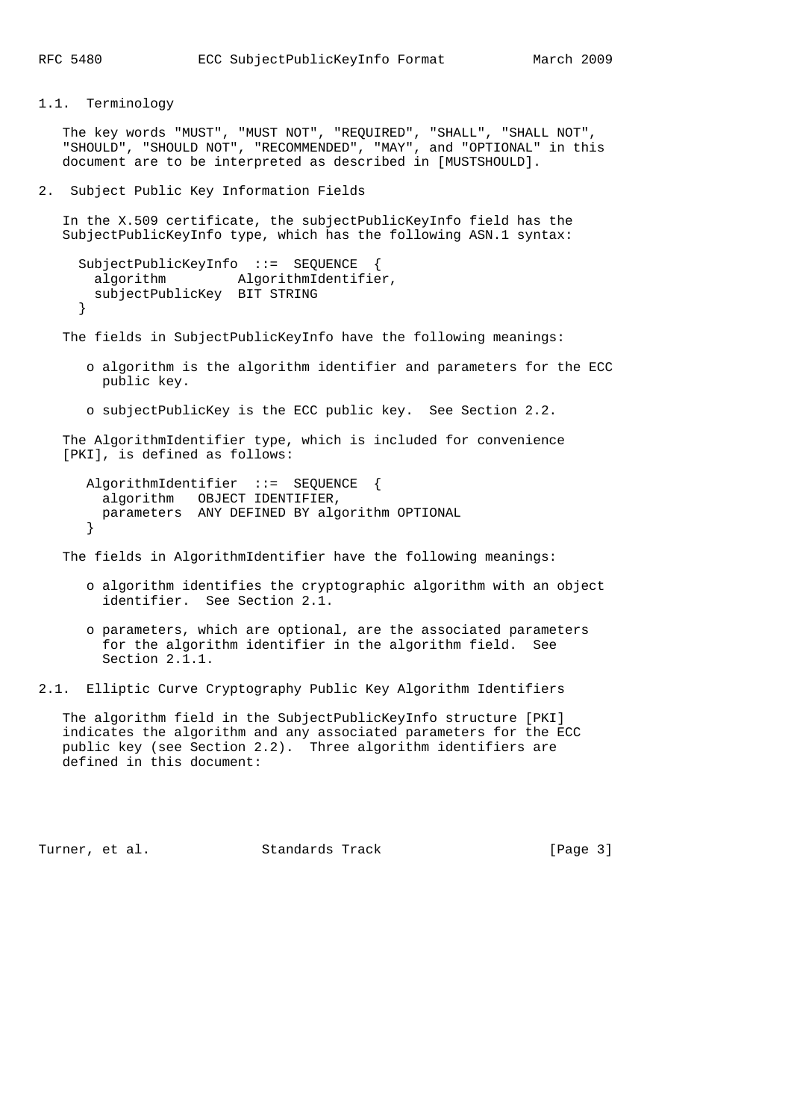1.1. Terminology

 The key words "MUST", "MUST NOT", "REQUIRED", "SHALL", "SHALL NOT", "SHOULD", "SHOULD NOT", "RECOMMENDED", "MAY", and "OPTIONAL" in this document are to be interpreted as described in [MUSTSHOULD].

2. Subject Public Key Information Fields

 In the X.509 certificate, the subjectPublicKeyInfo field has the SubjectPublicKeyInfo type, which has the following ASN.1 syntax:

```
 SubjectPublicKeyInfo ::= SEQUENCE {
 algorithm AlgorithmIdentifier,
  subjectPublicKey BIT STRING
 }
```
The fields in SubjectPublicKeyInfo have the following meanings:

- o algorithm is the algorithm identifier and parameters for the ECC public key.
- o subjectPublicKey is the ECC public key. See Section 2.2.

 The AlgorithmIdentifier type, which is included for convenience [PKI], is defined as follows:

```
 AlgorithmIdentifier ::= SEQUENCE {
  algorithm OBJECT IDENTIFIER,
  parameters ANY DEFINED BY algorithm OPTIONAL
 }
```
The fields in AlgorithmIdentifier have the following meanings:

- o algorithm identifies the cryptographic algorithm with an object identifier. See Section 2.1.
- o parameters, which are optional, are the associated parameters for the algorithm identifier in the algorithm field. See Section 2.1.1.
- 2.1. Elliptic Curve Cryptography Public Key Algorithm Identifiers

 The algorithm field in the SubjectPublicKeyInfo structure [PKI] indicates the algorithm and any associated parameters for the ECC public key (see Section 2.2). Three algorithm identifiers are defined in this document:

Turner, et al. Standards Track [Page 3]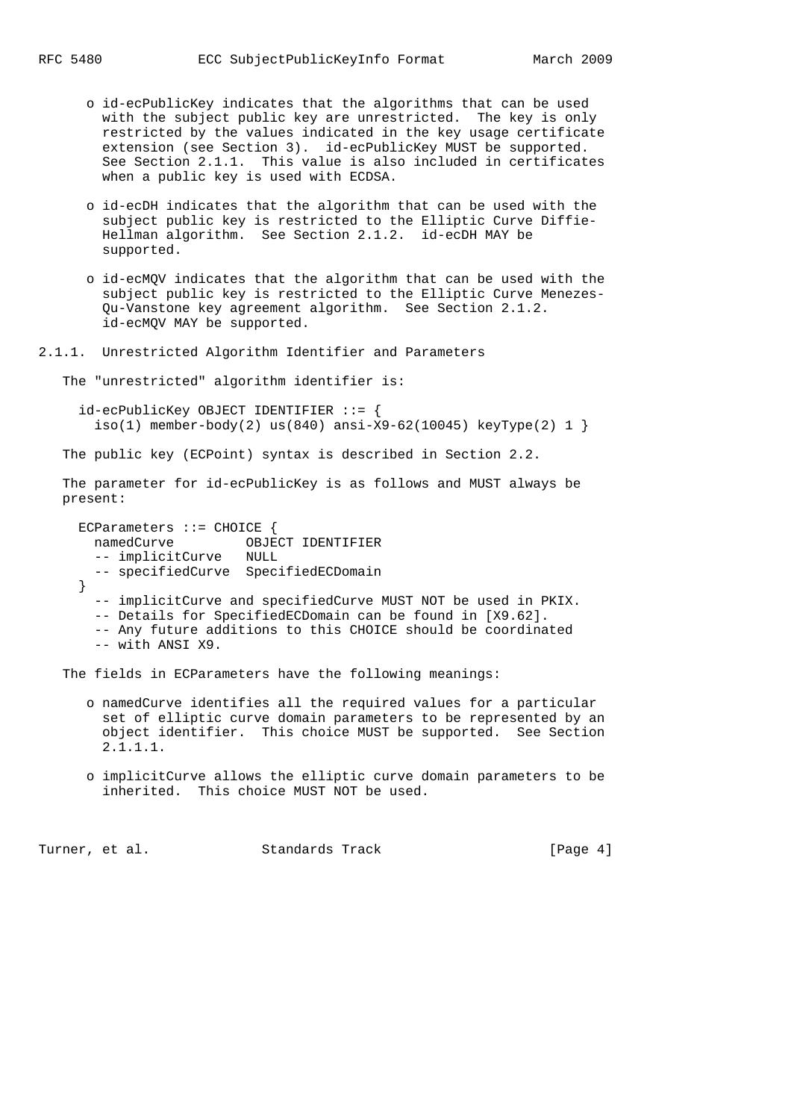- o id-ecPublicKey indicates that the algorithms that can be used with the subject public key are unrestricted. The key is only restricted by the values indicated in the key usage certificate extension (see Section 3). id-ecPublicKey MUST be supported. See Section 2.1.1. This value is also included in certificates when a public key is used with ECDSA.
- o id-ecDH indicates that the algorithm that can be used with the subject public key is restricted to the Elliptic Curve Diffie- Hellman algorithm. See Section 2.1.2. id-ecDH MAY be supported.
- o id-ecMQV indicates that the algorithm that can be used with the subject public key is restricted to the Elliptic Curve Menezes- Qu-Vanstone key agreement algorithm. See Section 2.1.2. id-ecMQV MAY be supported.

2.1.1. Unrestricted Algorithm Identifier and Parameters

The "unrestricted" algorithm identifier is:

 id-ecPublicKey OBJECT IDENTIFIER ::= {  $iso(1)$  member-body(2) us(840) ansi-X9-62(10045) keyType(2) 1 }

The public key (ECPoint) syntax is described in Section 2.2.

 The parameter for id-ecPublicKey is as follows and MUST always be present:

ECParameters ::= CHOICE { namedCurve OBJECT IDENTIFIER -- implicitCurve NULL -- specifiedCurve SpecifiedECDomain } -- implicitCurve and specifiedCurve MUST NOT be used in PKIX. -- Details for SpecifiedECDomain can be found in [X9.62]. -- Any future additions to this CHOICE should be coordinated -- with ANSI X9.

The fields in ECParameters have the following meanings:

- o namedCurve identifies all the required values for a particular set of elliptic curve domain parameters to be represented by an object identifier. This choice MUST be supported. See Section 2.1.1.1.
- o implicitCurve allows the elliptic curve domain parameters to be inherited. This choice MUST NOT be used.

Turner, et al. Standards Track [Page 4]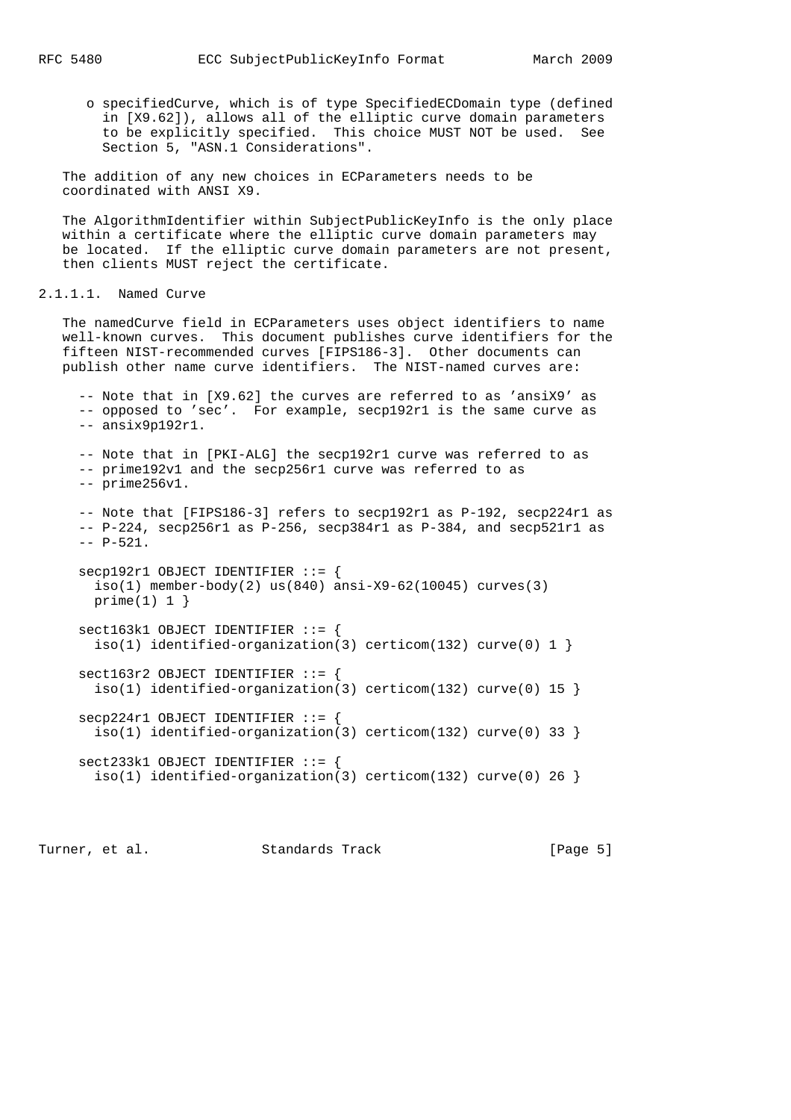o specifiedCurve, which is of type SpecifiedECDomain type (defined in [X9.62]), allows all of the elliptic curve domain parameters to be explicitly specified. This choice MUST NOT be used. See Section 5, "ASN.1 Considerations".

 The addition of any new choices in ECParameters needs to be coordinated with ANSI X9.

 The AlgorithmIdentifier within SubjectPublicKeyInfo is the only place within a certificate where the elliptic curve domain parameters may be located. If the elliptic curve domain parameters are not present, then clients MUST reject the certificate.

## 2.1.1.1. Named Curve

 The namedCurve field in ECParameters uses object identifiers to name well-known curves. This document publishes curve identifiers for the fifteen NIST-recommended curves [FIPS186-3]. Other documents can publish other name curve identifiers. The NIST-named curves are:

 -- Note that in [X9.62] the curves are referred to as 'ansiX9' as -- opposed to 'sec'. For example, secp192r1 is the same curve as -- ansix9p192r1. -- Note that in [PKI-ALG] the secp192r1 curve was referred to as -- prime192v1 and the secp256r1 curve was referred to as -- prime256v1. -- Note that [FIPS186-3] refers to secp192r1 as P-192, secp224r1 as  $-$  P-224, secp256r1 as P-256, secp384r1 as P-384, and secp521r1 as  $-- P-521.$  secp192r1 OBJECT IDENTIFIER ::= { iso(1) member-body(2) us(840) ansi-X9-62(10045) curves(3)  $prime(1) 1$ }  $sect163k1$  OBJECT IDENTIFIER  $::=$  { iso(1) identified-organization(3) certicom(132) curve(0) 1 }  $sect163r2$  OBJECT IDENTIFIER  $::=$  { iso(1) identified-organization(3) certicom(132) curve(0) 15 }

 secp224r1 OBJECT IDENTIFIER ::= { iso(1) identified-organization(3) certicom(132) curve(0) 33 } sect233k1 OBJECT IDENTIFIER ::= {

```
iso(1) identified-organization(3) certicom(132) curve(0) 26 }
```
Turner, et al. Standards Track [Page 5]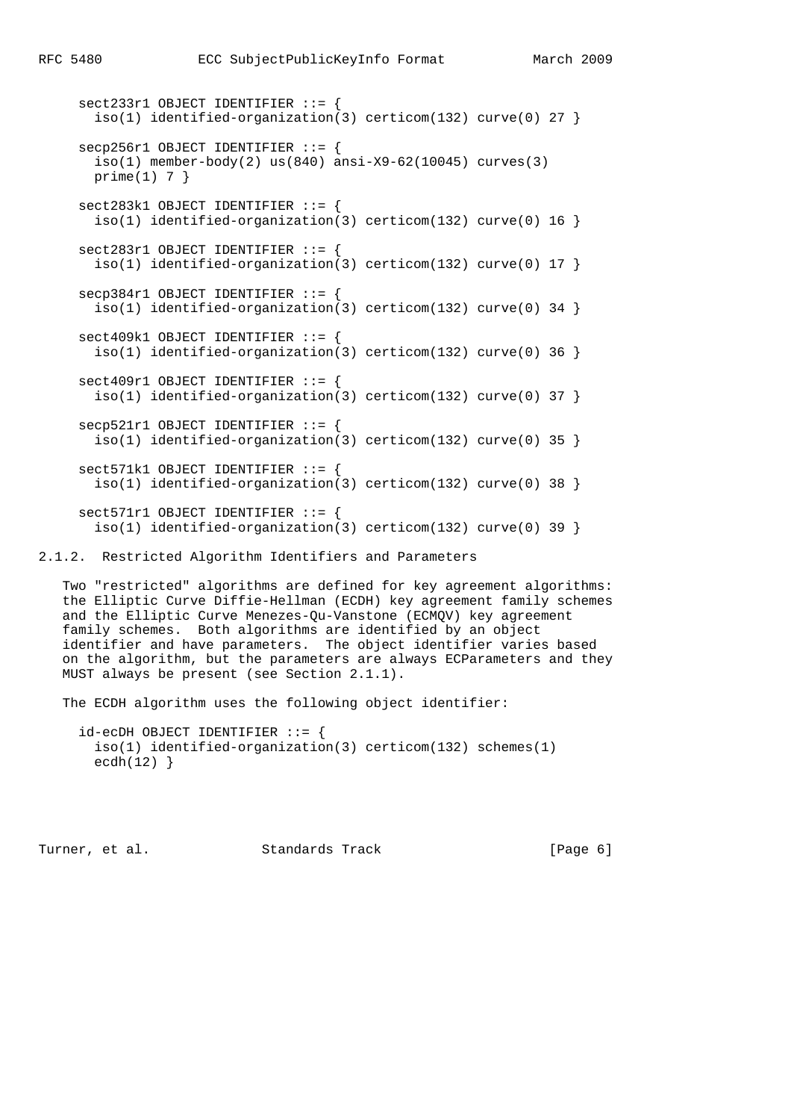```
 sect233r1 OBJECT IDENTIFIER ::= {
 iso(1) identified-organization(3) certicom(132) curve(0) 27 }
 secp256r1 OBJECT IDENTIFIER ::= {
  iso(1) member-body(2) us(840) ansi-X9-62(10045) curves(3)
 prime(1) 7 }
 sect283k1 OBJECT IDENTIFIER ::= {
 iso(1) identified-organization(3) certicom(132) curve(0) 16 }
sect283r1 OBJECT IDENTIFIER ::= {
 iso(1) identified-organization(3) certicom(132) curve(0) 17 }
 secp384r1 OBJECT IDENTIFIER ::= {
 iso(1) identified-organization(3) certicom(132) curve(0) 34 }
 sect409k1 OBJECT IDENTIFIER ::= {
 iso(1) identified-organization(3) certicom(132) curve(0) 36 }
 sect409r1 OBJECT IDENTIFIER ::= {
 iso(1) identified-organization(3) certicom(132) curve(0) 37 }
 secp521r1 OBJECT IDENTIFIER ::= {
  iso(1) identified-organization(3) certicom(132) curve(0) 35 }
 sect571k1 OBJECT IDENTIFIER ::= {
 iso(1) identified-organization(3) certicom(132) curve(0) 38 }
 sect571r1 OBJECT IDENTIFIER ::= {
 iso(1) identified-organization(3) certicom(132) curve(0) 39 }
```
2.1.2. Restricted Algorithm Identifiers and Parameters

 Two "restricted" algorithms are defined for key agreement algorithms: the Elliptic Curve Diffie-Hellman (ECDH) key agreement family schemes and the Elliptic Curve Menezes-Qu-Vanstone (ECMQV) key agreement family schemes. Both algorithms are identified by an object identifier and have parameters. The object identifier varies based on the algorithm, but the parameters are always ECParameters and they MUST always be present (see Section 2.1.1).

The ECDH algorithm uses the following object identifier:

```
 id-ecDH OBJECT IDENTIFIER ::= {
  iso(1) identified-organization(3) certicom(132) schemes(1)
 ecdh(12)}
```
Turner, et al. Standards Track [Page 6]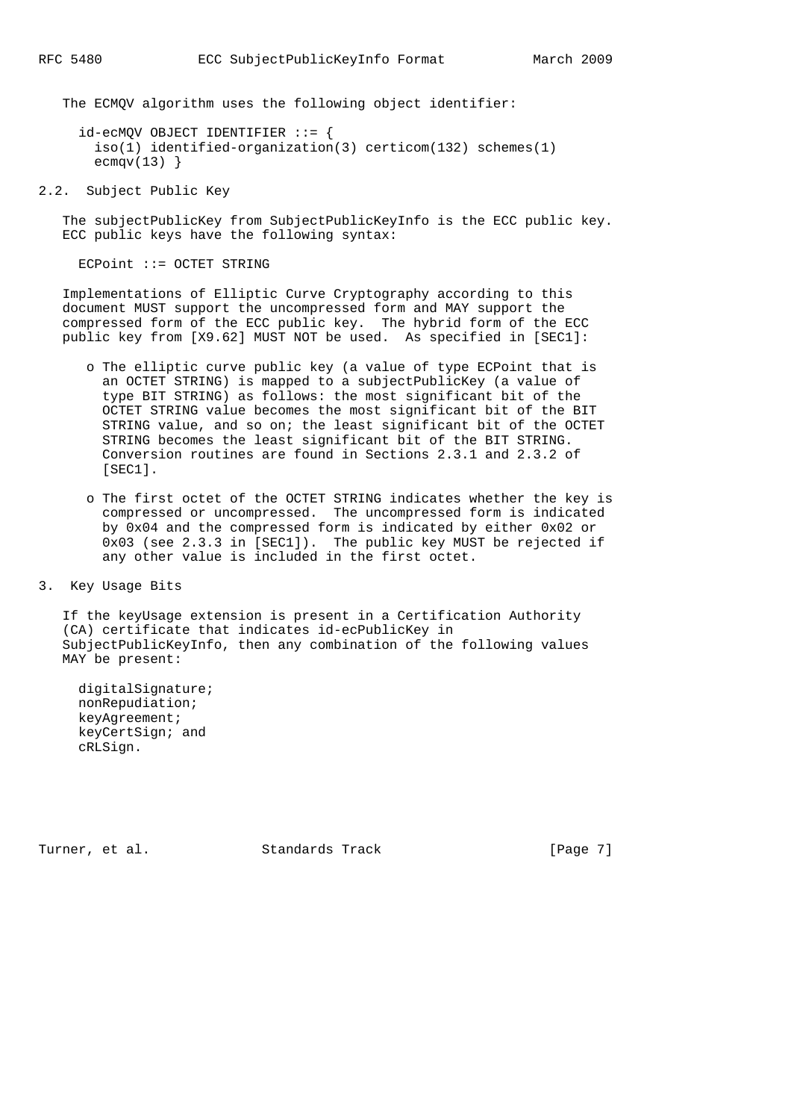The ECMQV algorithm uses the following object identifier:

 id-ecMQV OBJECT IDENTIFIER ::= { iso(1) identified-organization(3) certicom(132) schemes(1)  $ecmqv(13)$ }

2.2. Subject Public Key

 The subjectPublicKey from SubjectPublicKeyInfo is the ECC public key. ECC public keys have the following syntax:

ECPoint ::= OCTET STRING

 Implementations of Elliptic Curve Cryptography according to this document MUST support the uncompressed form and MAY support the compressed form of the ECC public key. The hybrid form of the ECC public key from [X9.62] MUST NOT be used. As specified in [SEC1]:

- o The elliptic curve public key (a value of type ECPoint that is an OCTET STRING) is mapped to a subjectPublicKey (a value of type BIT STRING) as follows: the most significant bit of the OCTET STRING value becomes the most significant bit of the BIT STRING value, and so on; the least significant bit of the OCTET STRING becomes the least significant bit of the BIT STRING. Conversion routines are found in Sections 2.3.1 and 2.3.2 of [SEC1].
- o The first octet of the OCTET STRING indicates whether the key is compressed or uncompressed. The uncompressed form is indicated by 0x04 and the compressed form is indicated by either 0x02 or 0x03 (see 2.3.3 in [SEC1]). The public key MUST be rejected if any other value is included in the first octet.

3. Key Usage Bits

 If the keyUsage extension is present in a Certification Authority (CA) certificate that indicates id-ecPublicKey in SubjectPublicKeyInfo, then any combination of the following values MAY be present:

 digitalSignature; nonRepudiation; keyAgreement; keyCertSign; and cRLSign.

Turner, et al. Standards Track [Page 7]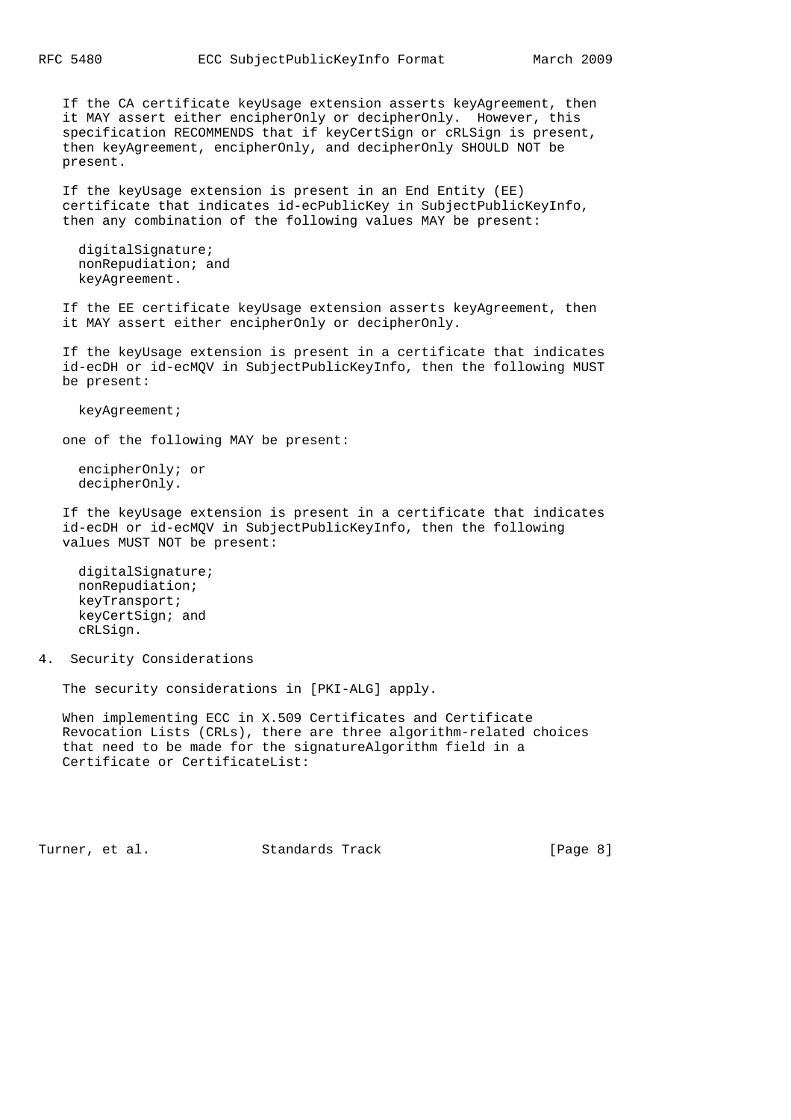If the CA certificate keyUsage extension asserts keyAgreement, then it MAY assert either encipherOnly or decipherOnly. However, this specification RECOMMENDS that if keyCertSign or cRLSign is present, then keyAgreement, encipherOnly, and decipherOnly SHOULD NOT be present.

 If the keyUsage extension is present in an End Entity (EE) certificate that indicates id-ecPublicKey in SubjectPublicKeyInfo, then any combination of the following values MAY be present:

 digitalSignature; nonRepudiation; and keyAgreement.

 If the EE certificate keyUsage extension asserts keyAgreement, then it MAY assert either encipherOnly or decipherOnly.

 If the keyUsage extension is present in a certificate that indicates id-ecDH or id-ecMQV in SubjectPublicKeyInfo, then the following MUST be present:

keyAgreement;

one of the following MAY be present:

 encipherOnly; or decipherOnly.

 If the keyUsage extension is present in a certificate that indicates id-ecDH or id-ecMQV in SubjectPublicKeyInfo, then the following values MUST NOT be present:

 digitalSignature; nonRepudiation; keyTransport; keyCertSign; and cRLSign.

4. Security Considerations

The security considerations in [PKI-ALG] apply.

 When implementing ECC in X.509 Certificates and Certificate Revocation Lists (CRLs), there are three algorithm-related choices that need to be made for the signatureAlgorithm field in a Certificate or CertificateList:

Turner, et al. Standards Track [Page 8]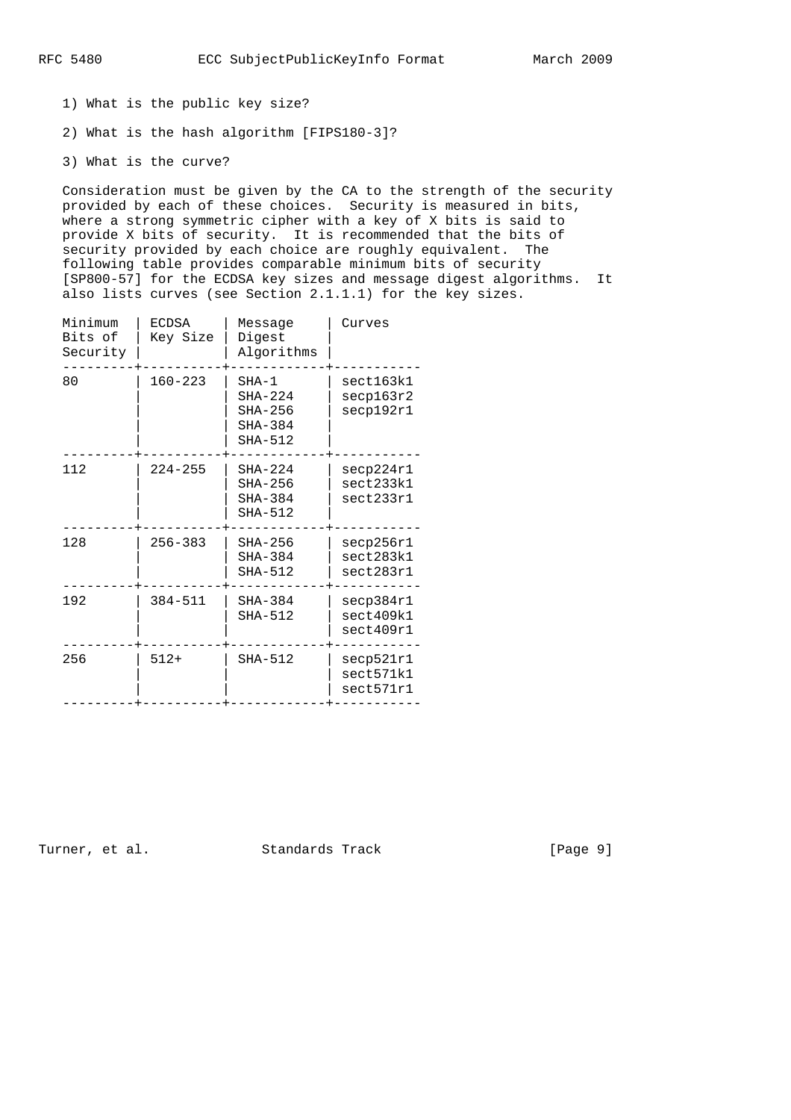- 1) What is the public key size?
- 2) What is the hash algorithm [FIPS180-3]?
- 3) What is the curve?

 Consideration must be given by the CA to the strength of the security provided by each of these choices. Security is measured in bits, where a strong symmetric cipher with a key of X bits is said to provide X bits of security. It is recommended that the bits of security provided by each choice are roughly equivalent. The following table provides comparable minimum bits of security [SP800-57] for the ECDSA key sizes and message digest algorithms. It also lists curves (see Section 2.1.1.1) for the key sizes.

|  | Minimum<br>Bits of<br>Security | <b>ECDSA</b><br>Key Size | Message<br>Digest<br>Algorithms                             | Curves                              |
|--|--------------------------------|--------------------------|-------------------------------------------------------------|-------------------------------------|
|  | 80                             | $160 - 223$              | $SHA-1$<br>$SHA-224$<br>$SHA-256$<br>$SHA-384$<br>$SHA-512$ | sect163k1<br>secp163r2<br>secp192r1 |
|  | 112                            | $224 - 255$              | $SHA-224$<br>$SHA-256$<br>$SHA-384$<br>$SHA-512$            | secp224r1<br>sect233k1<br>sect233r1 |
|  | 128                            | $256 - 383$              | $SHA-256$<br>$SHA-384$<br>$SHA-512$                         | secp256r1<br>sect283k1<br>sect283r1 |
|  | 192                            | $384 - 511$              | $SHA-384$<br>SHA-512                                        | secp384r1<br>sect409k1<br>sect409r1 |
|  | 256                            | $512+$                   | SHA-512                                                     | secp521r1<br>sect571k1<br>sect571r1 |
|  |                                |                          |                                                             |                                     |

Turner, et al. Standards Track [Page 9]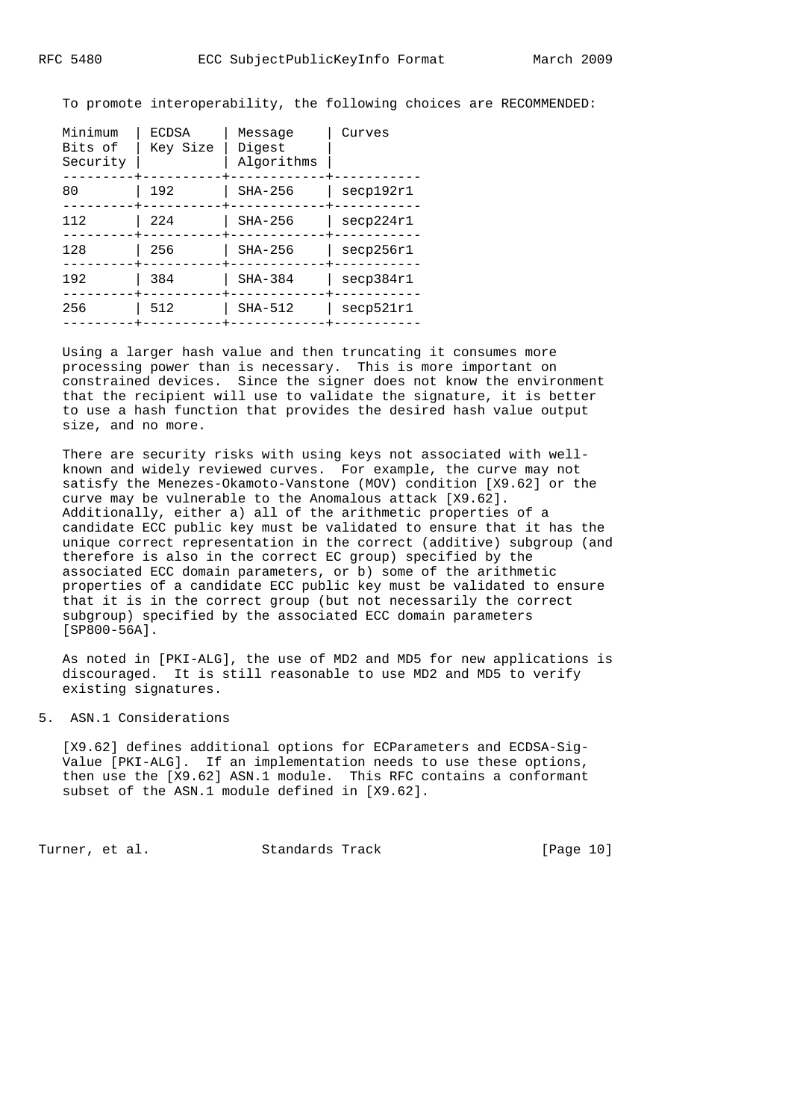To promote interoperability, the following choices are RECOMMENDED:

| Minimum<br>Bits of<br>Security | <b>ECDSA</b><br>Key Size | Message<br>Digest<br>Algorithms | Curves    |
|--------------------------------|--------------------------|---------------------------------|-----------|
| 80                             | 192                      | $SHA-256$                       | secp192r1 |
| 112                            | 224                      | $SHA-256$                       | secp224r1 |
| 128                            | 256                      | $SHA-256$                       | secp256r1 |
| 192                            | 384                      | $SHA-384$                       | secp384r1 |
| 256                            | 512                      | $SHA-512$                       | secp521r1 |
|                                |                          |                                 |           |

 Using a larger hash value and then truncating it consumes more processing power than is necessary. This is more important on constrained devices. Since the signer does not know the environment that the recipient will use to validate the signature, it is better to use a hash function that provides the desired hash value output size, and no more.

 There are security risks with using keys not associated with well known and widely reviewed curves. For example, the curve may not satisfy the Menezes-Okamoto-Vanstone (MOV) condition [X9.62] or the curve may be vulnerable to the Anomalous attack [X9.62]. Additionally, either a) all of the arithmetic properties of a candidate ECC public key must be validated to ensure that it has the unique correct representation in the correct (additive) subgroup (and therefore is also in the correct EC group) specified by the associated ECC domain parameters, or b) some of the arithmetic properties of a candidate ECC public key must be validated to ensure that it is in the correct group (but not necessarily the correct subgroup) specified by the associated ECC domain parameters [SP800-56A].

 As noted in [PKI-ALG], the use of MD2 and MD5 for new applications is discouraged. It is still reasonable to use MD2 and MD5 to verify existing signatures.

#### 5. ASN.1 Considerations

 [X9.62] defines additional options for ECParameters and ECDSA-Sig- Value [PKI-ALG]. If an implementation needs to use these options, then use the [X9.62] ASN.1 module. This RFC contains a conformant subset of the ASN.1 module defined in [X9.62].

Turner, et al. Standards Track [Page 10]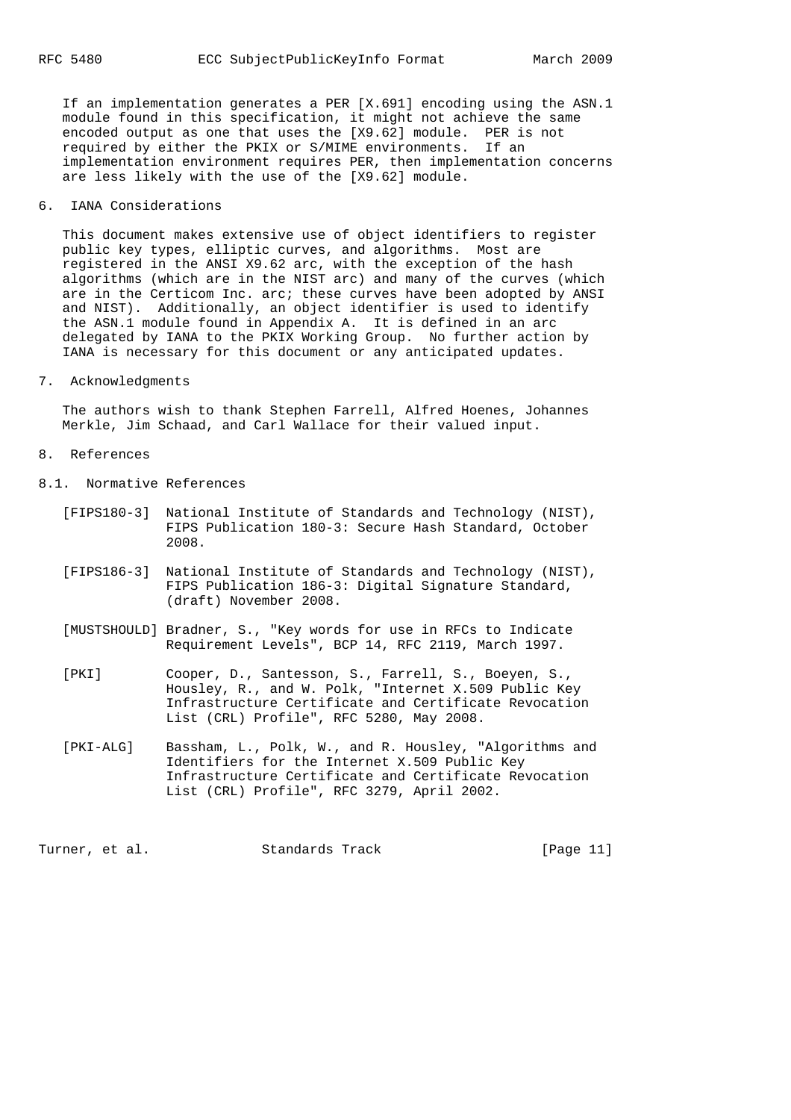If an implementation generates a PER [X.691] encoding using the ASN.1 module found in this specification, it might not achieve the same encoded output as one that uses the [X9.62] module. PER is not required by either the PKIX or S/MIME environments. If an implementation environment requires PER, then implementation concerns are less likely with the use of the [X9.62] module.

# 6. IANA Considerations

 This document makes extensive use of object identifiers to register public key types, elliptic curves, and algorithms. Most are registered in the ANSI X9.62 arc, with the exception of the hash algorithms (which are in the NIST arc) and many of the curves (which are in the Certicom Inc. arc; these curves have been adopted by ANSI and NIST). Additionally, an object identifier is used to identify the ASN.1 module found in Appendix A. It is defined in an arc delegated by IANA to the PKIX Working Group. No further action by IANA is necessary for this document or any anticipated updates.

# 7. Acknowledgments

 The authors wish to thank Stephen Farrell, Alfred Hoenes, Johannes Merkle, Jim Schaad, and Carl Wallace for their valued input.

- 8. References
- 8.1. Normative References
	- [FIPS180-3] National Institute of Standards and Technology (NIST), FIPS Publication 180-3: Secure Hash Standard, October 2008.
	- [FIPS186-3] National Institute of Standards and Technology (NIST), FIPS Publication 186-3: Digital Signature Standard, (draft) November 2008.
	- [MUSTSHOULD] Bradner, S., "Key words for use in RFCs to Indicate Requirement Levels", BCP 14, RFC 2119, March 1997.
	- [PKI] Cooper, D., Santesson, S., Farrell, S., Boeyen, S., Housley, R., and W. Polk, "Internet X.509 Public Key Infrastructure Certificate and Certificate Revocation List (CRL) Profile", RFC 5280, May 2008.
	- [PKI-ALG] Bassham, L., Polk, W., and R. Housley, "Algorithms and Identifiers for the Internet X.509 Public Key Infrastructure Certificate and Certificate Revocation List (CRL) Profile", RFC 3279, April 2002.

Turner, et al. Standards Track [Page 11]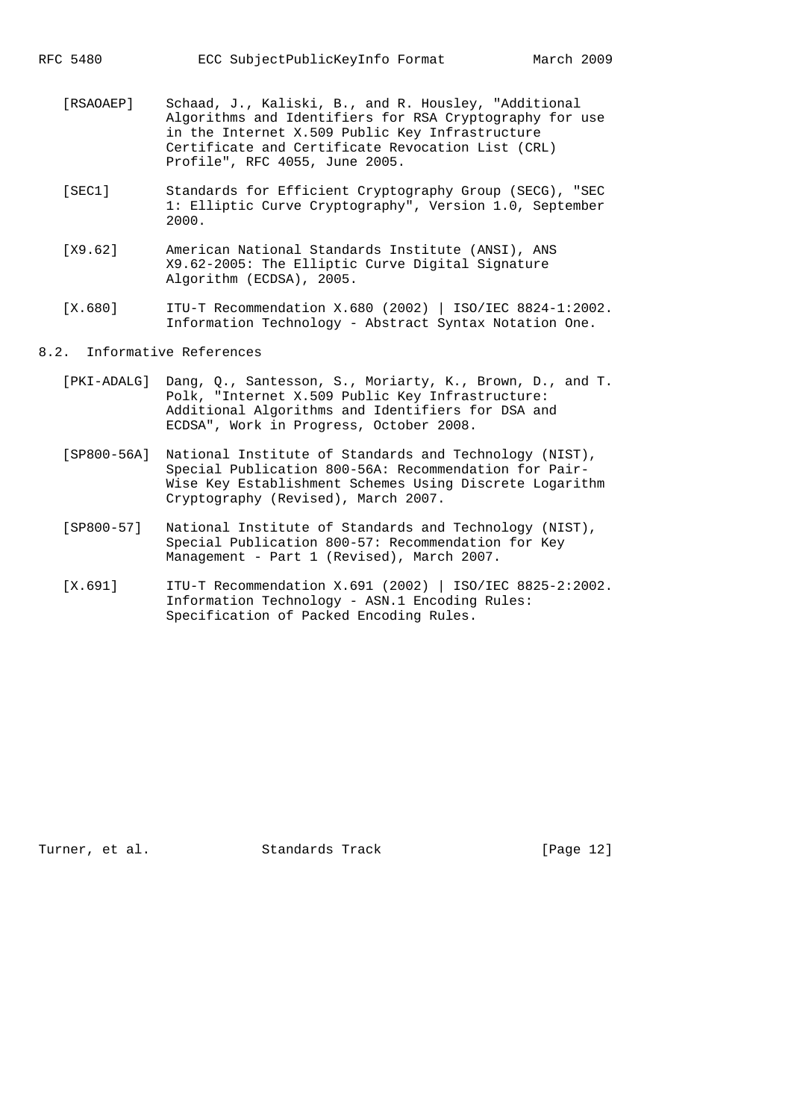- [RSAOAEP] Schaad, J., Kaliski, B., and R. Housley, "Additional Algorithms and Identifiers for RSA Cryptography for use in the Internet X.509 Public Key Infrastructure Certificate and Certificate Revocation List (CRL) Profile", RFC 4055, June 2005.
- [SEC1] Standards for Efficient Cryptography Group (SECG), "SEC 1: Elliptic Curve Cryptography", Version 1.0, September 2000.
- [X9.62] American National Standards Institute (ANSI), ANS X9.62-2005: The Elliptic Curve Digital Signature Algorithm (ECDSA), 2005.
- [X.680] ITU-T Recommendation X.680 (2002) | ISO/IEC 8824-1:2002. Information Technology - Abstract Syntax Notation One.

## 8.2. Informative References

- [PKI-ADALG] Dang, Q., Santesson, S., Moriarty, K., Brown, D., and T. Polk, "Internet X.509 Public Key Infrastructure: Additional Algorithms and Identifiers for DSA and ECDSA", Work in Progress, October 2008.
- [SP800-56A] National Institute of Standards and Technology (NIST), Special Publication 800-56A: Recommendation for Pair- Wise Key Establishment Schemes Using Discrete Logarithm Cryptography (Revised), March 2007.
- [SP800-57] National Institute of Standards and Technology (NIST), Special Publication 800-57: Recommendation for Key Management - Part 1 (Revised), March 2007.
- [X.691] ITU-T Recommendation X.691 (2002) | ISO/IEC 8825-2:2002. Information Technology - ASN.1 Encoding Rules: Specification of Packed Encoding Rules.

Turner, et al. Standards Track [Page 12]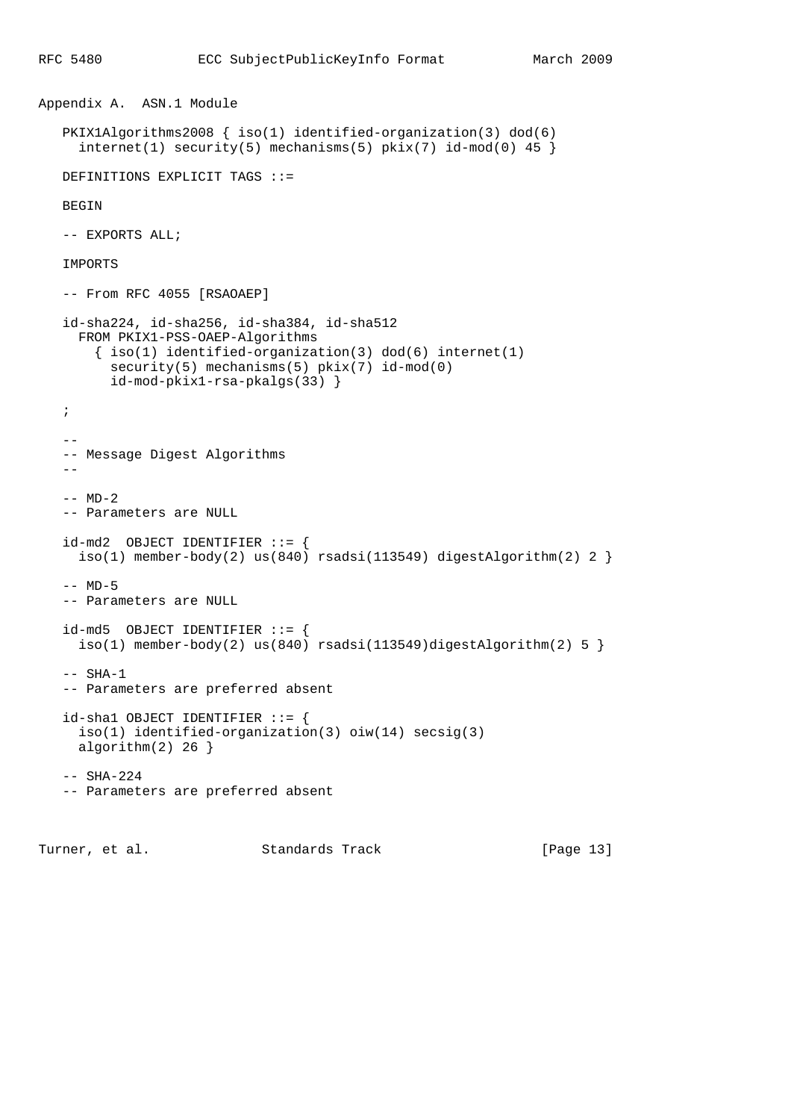```
Appendix A. ASN.1 Module
    PKIX1Algorithms2008 { iso(1) identified-organization(3) dod(6)
     interval(1) security(5) mechanisms(5) pix(x(7) id-mod(0) 45 ) DEFINITIONS EXPLICIT TAGS ::=
    BEGIN
    -- EXPORTS ALL;
    IMPORTS
    -- From RFC 4055 [RSAOAEP]
    id-sha224, id-sha256, id-sha384, id-sha512
      FROM PKIX1-PSS-OAEP-Algorithms
       \{ iso(1) <i>identified-organization(3) <math> dod(6) <i>internet(1)</i> security(5) mechanisms(5) pkix(7) id-mod(0)
          id-mod-pkix1-rsa-pkalgs(33) }
    ;
 --
    -- Message Digest Algorithms
    --
   -- MD-2 -- Parameters are NULL
    id-md2 OBJECT IDENTIFIER ::= {
    iso(1) member-body(2) us(840) rsadsi(113549) digestAlgorithm(2) 2 }
   -- M D-5 -- Parameters are NULL
   id-md5 OBJECT IDENTIFIER := {
     iso(1) member-body(2) us(840) rsadsi(113549)digestAlgorithm(2) 5 }
   -- SHA-1
    -- Parameters are preferred absent
    id-sha1 OBJECT IDENTIFIER ::= {
     iso(1) identified-organization(3) oiw(14) secsig(3)
      algorithm(2) 26 }
    -- SHA-224
    -- Parameters are preferred absent
```
Turner, et al. Standards Track [Page 13]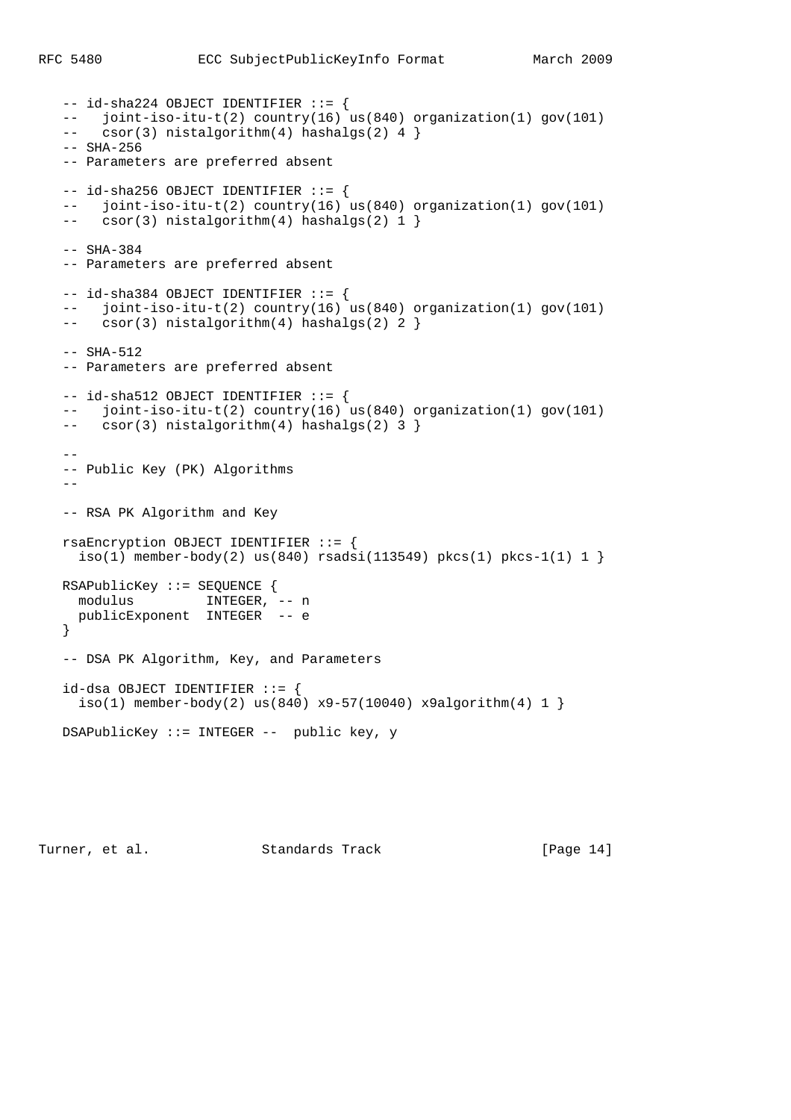```
 -- id-sha224 OBJECT IDENTIFIER ::= {
  -- joint-iso-itu-t(2) country(16) us(840) organization(1) gov(101)<br>-- csor(3) nistalgorithm(4) hashalgs(2) 4 l
       \text{csor}(3) nistalgorithm(4) hashalgs(2) 4 }
   -- SHA-256
   -- Parameters are preferred absent
  -- id-sha256 OBJECT IDENTIFIER := {
   -- joint-iso-itu-t(2) country(16) us(840) organization(1) gov(101)
  -- csor(3) nistalgorithm(4) hashalgs(2) 1 }
   -- SHA-384
   -- Parameters are preferred absent
  -- id-sha384 OBJECT IDENTIFIER := {
   -- joint-iso-itu-t(2) country(16) us(840) organization(1) gov(101)
   -- csor(3) nistalgorithm(4) hashalgs(2) 2 }
  -- SHA-512 -- Parameters are preferred absent
  -- id-sha512 OBJECT IDENTIFIER := {
   -- joint-iso-itu-t(2) country(16) us(840) organization(1) gov(101)
    -- csor(3) nistalgorithm(4) hashalgs(2) 3 }
 --
   -- Public Key (PK) Algorithms
   - -- RSA PK Algorithm and Key
   rsaEncryption OBJECT IDENTIFIER ::= {
    iso(1) member-body(2) us(840) rsadsi(113549) pkcs(1) pkcs-1(1) 1 }
   RSAPublicKey ::= SEQUENCE {
     modulus INTEGER, -- n
     publicExponent INTEGER -- e
   }
   -- DSA PK Algorithm, Key, and Parameters
   id-dsa OBJECT IDENTIFIER ::= {
    iso(1) member-body(2) us(840) x9-57(10040) x9algorithm(4) 1 }
   DSAPublicKey ::= INTEGER -- public key, y
```
Turner, et al. Standards Track [Page 14]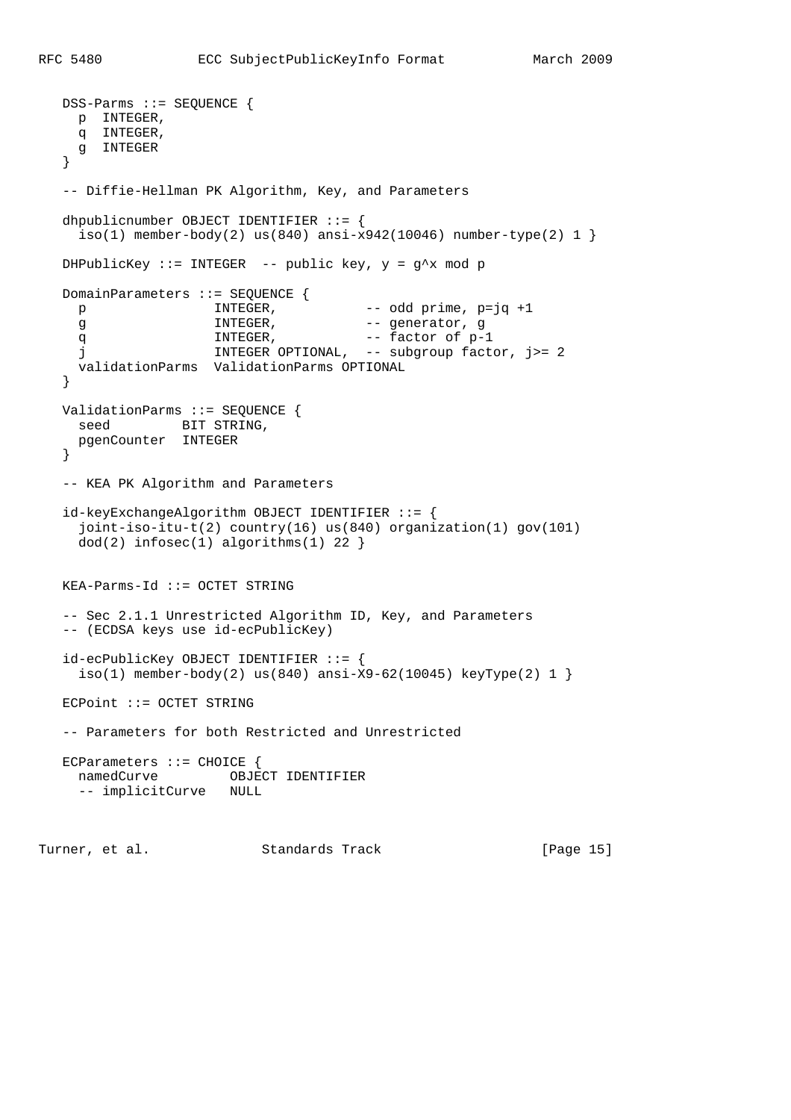```
 DSS-Parms ::= SEQUENCE {
     p INTEGER,
    q INTEGER,
     g INTEGER
   }
   -- Diffie-Hellman PK Algorithm, Key, and Parameters
   dhpublicnumber OBJECT IDENTIFIER ::= {
    iso(1) member-body(2) us(840) ansi-x942(10046) number-type(2) 1 }
  DHPublicKey ::= INTEGER -- public key, y = q^x x \mod pDomainParameters ::= SEQUENCE {
    p INTEGR, - odd prime, p=jq +1<br>q INTEGR, - generator, g
    g INTEGR, - generator, g<br>q INTEGR, - factor of n-
q MINTEGER, and the factor of p-1
 j INTEGER OPTIONAL, -- subgroup factor, j>= 2
     validationParms ValidationParms OPTIONAL
   }
   ValidationParms ::= SEQUENCE {
seed BIT STRING,
 pgenCounter INTEGER
   }
   -- KEA PK Algorithm and Parameters
   id-keyExchangeAlgorithm OBJECT IDENTIFIER ::= {
     joint-iso-itu-t(2) country(16) us(840) organization(1) gov(101)
    dod(2) infosec(1) algorithms(1) 22 }
   KEA-Parms-Id ::= OCTET STRING
   -- Sec 2.1.1 Unrestricted Algorithm ID, Key, and Parameters
   -- (ECDSA keys use id-ecPublicKey)
   id-ecPublicKey OBJECT IDENTIFIER ::= {
    iso(1) member-body(2) us(840) ansi-X9-62(10045) keyType(2) 1 }
   ECPoint ::= OCTET STRING
   -- Parameters for both Restricted and Unrestricted
  ECParameters ::= CHOICE {
     namedCurve OBJECT IDENTIFIER
     -- implicitCurve NULL
```
Turner, et al. Standards Track [Page 15]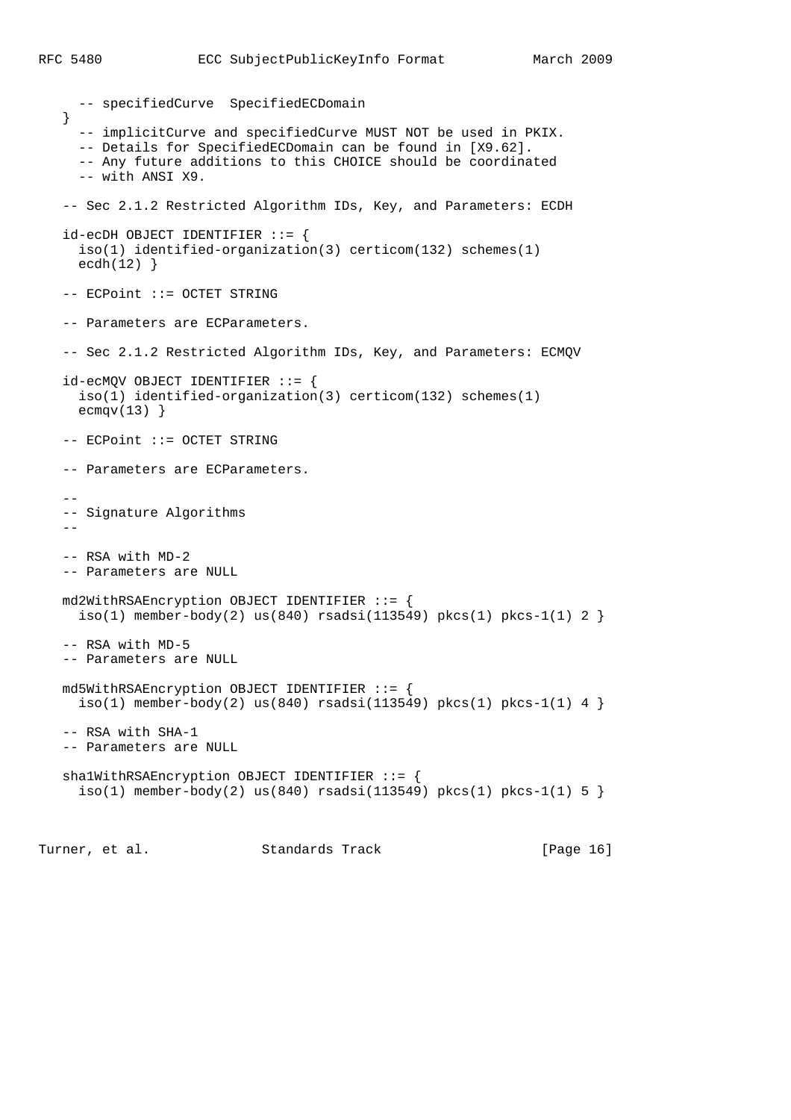```
 -- specifiedCurve SpecifiedECDomain
    }
      -- implicitCurve and specifiedCurve MUST NOT be used in PKIX.
     -- Details for SpecifiedECDomain can be found in [X9.62].
     -- Any future additions to this CHOICE should be coordinated
     -- with ANSI X9.
   -- Sec 2.1.2 Restricted Algorithm IDs, Key, and Parameters: ECDH
   id-ecDH OBJECT IDENTIFIER ::= {
     iso(1) identified-organization(3) certicom(132) schemes(1)
    ecdh(12) }
   -- ECPoint ::= OCTET STRING
   -- Parameters are ECParameters.
   -- Sec 2.1.2 Restricted Algorithm IDs, Key, and Parameters: ECMQV
   id-ecMQV OBJECT IDENTIFIER ::= {
     iso(1) identified-organization(3) certicom(132) schemes(1)
    ecmqv(13)}
   -- ECPoint ::= OCTET STRING
   -- Parameters are ECParameters.
 --
   -- Signature Algorithms
   - -- RSA with MD-2
   -- Parameters are NULL
   md2WithRSAEncryption OBJECT IDENTIFIER ::= {
    iso(1) member-body(2) us(840) rsadsi(113549) pkcs(1) pkcs-1(1) 2 }
   -- RSA with MD-5
   -- Parameters are NULL
   md5WithRSAEncryption OBJECT IDENTIFIER ::= {
    iso(1) member-body(2) us(840) rsadsi(113549) pkcs(1) pkcs-1(1) 4 }
   -- RSA with SHA-1
   -- Parameters are NULL
   sha1WithRSAEncryption OBJECT IDENTIFIER ::= {
    iso(1) member-body(2) us(840) rsadsi(113549) pkcs(1) pkcs-1(1) 5 }
```
Turner, et al. Standards Track [Page 16]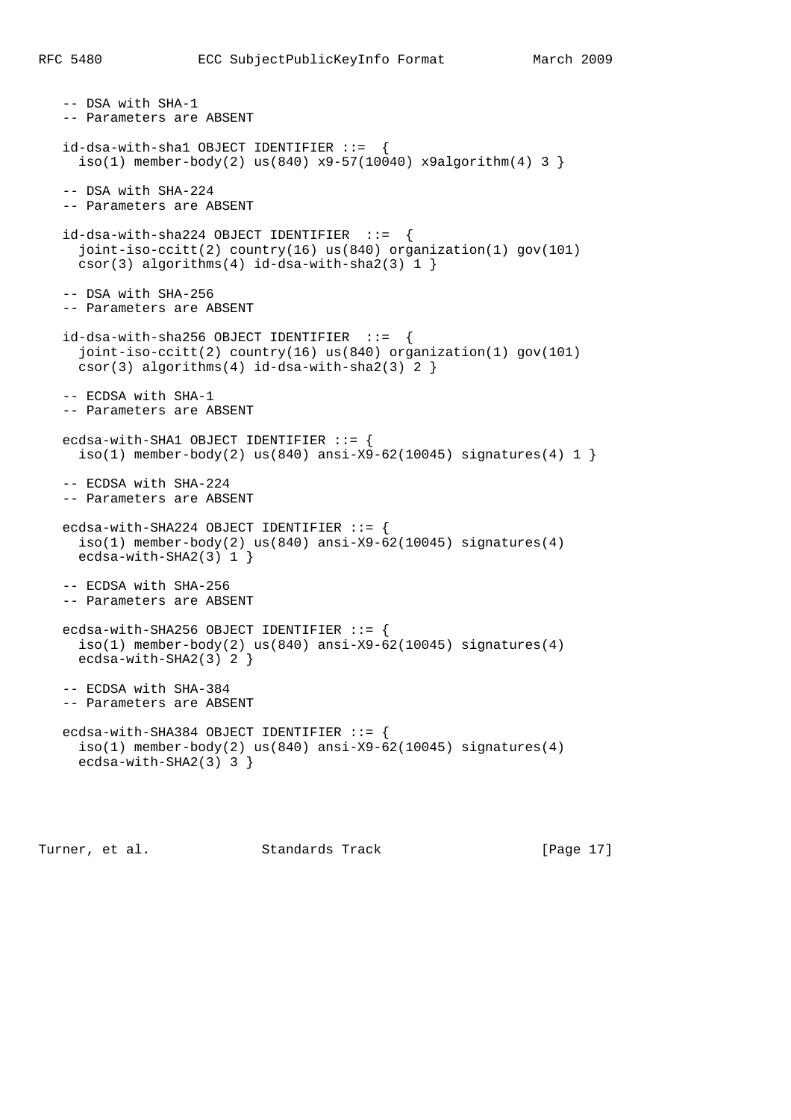```
 -- DSA with SHA-1
 -- Parameters are ABSENT
 id-dsa-with-sha1 OBJECT IDENTIFIER ::= {
 iso(1) member-body(2) us(840) x9-57(10040) x9algorithm(4) 3 }
 -- DSA with SHA-224
 -- Parameters are ABSENT
 id-dsa-with-sha224 OBJECT IDENTIFIER ::= {
  joint-iso-ccitt(2) country(16) us(840) organization(1) gov(101)
 csor(3) algorithms(4) id-dsa-with-sha2(3) 1 }
 -- DSA with SHA-256
 -- Parameters are ABSENT
id-dsa-with-sha256 OBJECT IDENTIFIER ::= {
  joint-iso-ccitt(2) country(16) us(840) organization(1) gov(101)
  csor(3) algorithms(4) id-dsa-with-sha2(3) 2 }
 -- ECDSA with SHA-1
 -- Parameters are ABSENT
 ecdsa-with-SHA1 OBJECT IDENTIFIER ::= {
  iso(1) member-body(2) us(840) ansi-X9-62(10045) signatures(4) 1 }
 -- ECDSA with SHA-224
 -- Parameters are ABSENT
ecdsa-with-SHA224 OBJECT IDENTIFIER ::= {
 iso(1) member-body(2) us(840) ansi-X9-62(10045) signatures(4)
  ecdsa-with-SHA2(3) 1 }
 -- ECDSA with SHA-256
 -- Parameters are ABSENT
ecdsa-with-SHA256 OBJECT IDENTIFIER ::= {
 iso(1) member-body(2) us(840) ansi-X9-62(10045) signatures(4)
  ecdsa-with-SHA2(3) 2 }
 -- ECDSA with SHA-384
 -- Parameters are ABSENT
ecdsa-with-SHA384 OBJECT IDENTIFIER ::= {
 iso(1) member-body(2) us(840) ansi-X9-62(10045) signatures(4)
  ecdsa-with-SHA2(3) 3 }
```
Turner, et al. Standards Track [Page 17]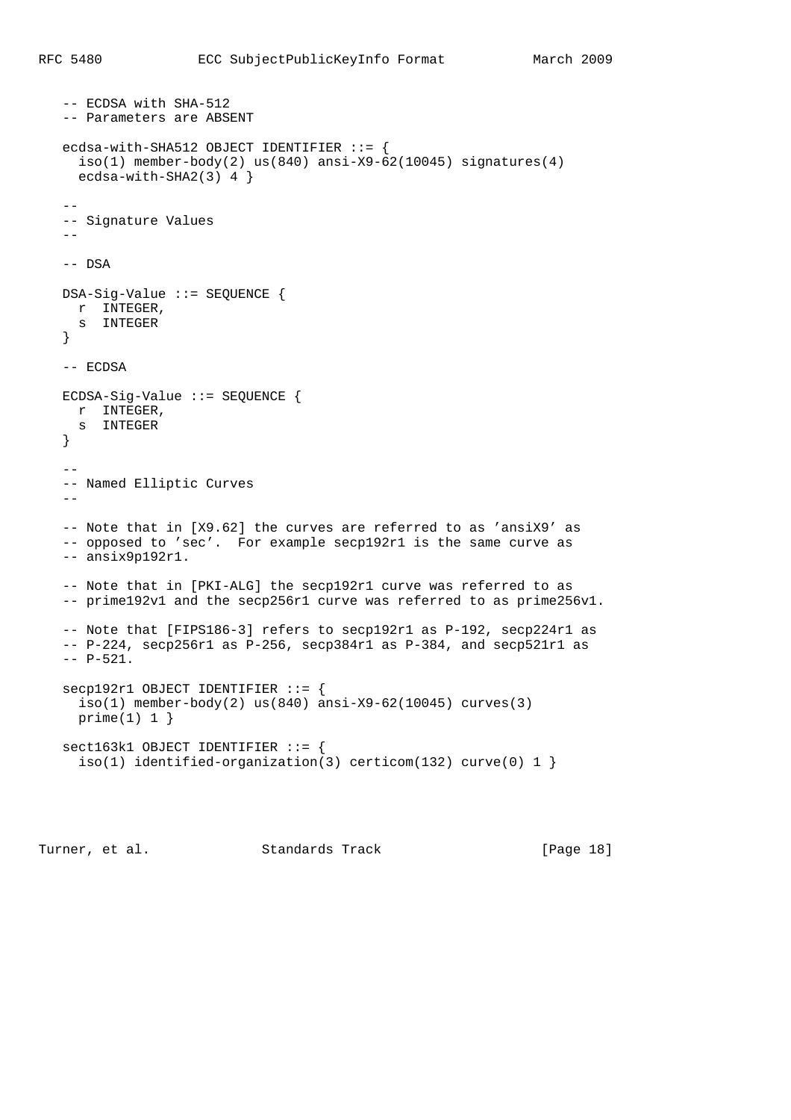```
 -- ECDSA with SHA-512
   -- Parameters are ABSENT
   ecdsa-with-SHA512 OBJECT IDENTIFIER ::= {
   iso(1) member-body(2) us(840) ansi-X9-62(10045) signatures(4)
     ecdsa-with-SHA2(3) 4 }
 --
   -- Signature Values
  - -- DSA
   DSA-Sig-Value ::= SEQUENCE {
    r INTEGER,
    s INTEGER
   }
   -- ECDSA
   ECDSA-Sig-Value ::= SEQUENCE {
    r INTEGER,
     s INTEGER
   }
- -- Named Elliptic Curves
  - -- Note that in [X9.62] the curves are referred to as 'ansiX9' as
   -- opposed to 'sec'. For example secp192r1 is the same curve as
   -- ansix9p192r1.
   -- Note that in [PKI-ALG] the secp192r1 curve was referred to as
   -- prime192v1 and the secp256r1 curve was referred to as prime256v1.
   -- Note that [FIPS186-3] refers to secp192r1 as P-192, secp224r1 as
   -- P-224, secp256r1 as P-256, secp384r1 as P-384, and secp521r1 as
   -- P-521.
   secp192r1 OBJECT IDENTIFIER ::= {
    iso(1) member-body(2) us(840) ansi-X9-62(10045) curves(3)
     prime(1) 1 }
   sect163k1 OBJECT IDENTIFIER ::= {
    iso(1) identified-organization(3) certicom(132) curve(0) 1 }
```
Turner, et al. Standards Track [Page 18]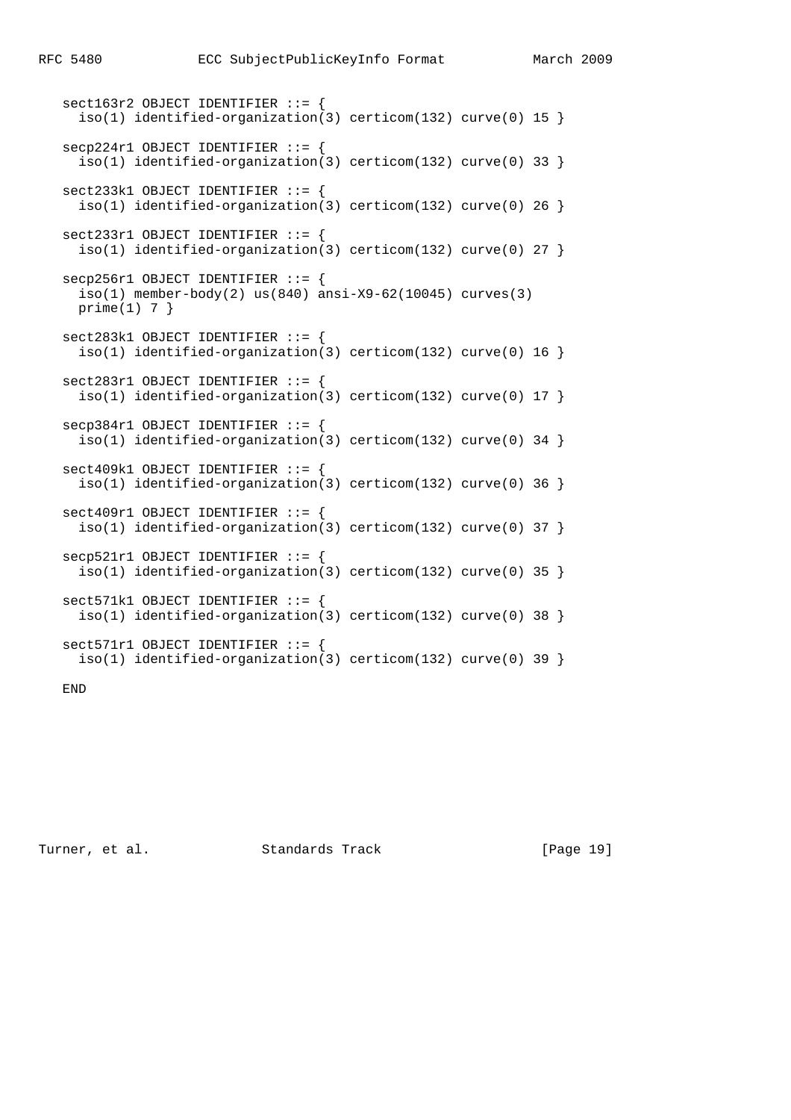```
 sect163r2 OBJECT IDENTIFIER ::= {
 iso(1) identified-organization(3) certicom(132) curve(0) 15 }
 secp224r1 OBJECT IDENTIFIER ::= {
  iso(1) identified-organization(3) certicom(132) curve(0) 33 }
 sect233k1 OBJECT IDENTIFIER ::= {
 iso(1) identified-organization(3) certicom(132) curve(0) 26 }
 sect233r1 OBJECT IDENTIFIER ::= {
 iso(1) identified-organization(3) certicom(132) curve(0) 27 }
 secp256r1 OBJECT IDENTIFIER ::= {
 iso(1) member-body(2) us(840) ansi-X9-62(10045) curves(3)prime(1) 7 }
 sect283k1 OBJECT IDENTIFIER ::= {
 iso(1) identified-organization(3) certicom(132) curve(0) 16 }
 sect283r1 OBJECT IDENTIFIER ::= {
 iso(1) identified-organization(3) certicom(132) curve(0) 17 }
 secp384r1 OBJECT IDENTIFIER ::= {
  iso(1) identified-organization(3) certicom(132) curve(0) 34 }
 sect409k1 OBJECT IDENTIFIER ::= {
 iso(1) identified-organization(3) certicom(132) curve(0) 36 }
 sect409r1 OBJECT IDENTIFIER ::= {
 iso(1) identified-organization(3) certicom(132) curve(0) 37 }
 secp521r1 OBJECT IDENTIFIER ::= {
  iso(1) identified-organization(3) certicom(132) curve(0) 35 }
 sect571k1 OBJECT IDENTIFIER ::= {
  iso(1) identified-organization(3) certicom(132) curve(0) 38 }
sect571r1 OBJECT IDENTIFIER ::= {
  iso(1) identified-organization(3) certicom(132) curve(0) 39 }
```
END

Turner, et al. Standards Track [Page 19]